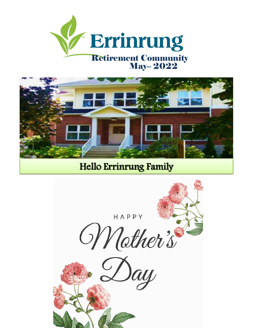



**Hello Errinrung Family** 

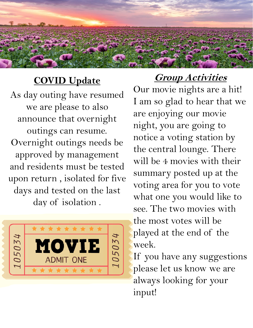## **COVID Update**

As day outing have resumed we are please to also announce that overnight outings can resume. Overnight outings needs be approved by management and residents must be tested upon return , isolated for five days and tested on the last day of isolation .



**Group Activities**  Our movie nights are a hit! I am so glad to hear that we are enjoying our movie night, you are going to notice a voting station by the central lounge. There will be 4 movies with their summary posted up at the voting area for you to vote what one you would like to see. The two movies with the most votes will be played at the end of the week.

If you have any suggestions please let us know we are always looking for your input!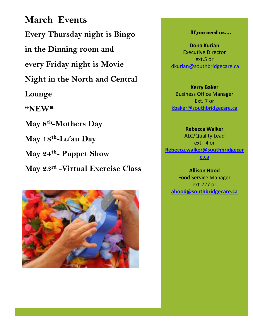**March Events Every Thursday night is Bingo in the Dinning room and every Friday night is Movie Night in the North and Central Lounge \*NEW\* May 8th -Mothers Day May 18th -Lu'au Day May 24th - Puppet Show May 23rd -Virtual Exercise Class**



## If you need us….

**Dona Kurian**  Executive Director ext.5 or [dkurian@southbridgecare.ca](mailto:dkurian@southbridgecare.ca)

**Kerry Baker**  Business Office Manager Ext. 7 or [kbaker@southbridgecare.ca](mailto:kbaker@southbridgecare.ca)

**Rebecca Walker** ALC/Quality Lead ext. 4 or **[Rebecca.walker@southbridgecar](mailto:Rebecca.walker@southbridgecare.ca) [e.ca](mailto:Rebecca.walker@southbridgecare.ca)**

**Allison Hood**  Food Service Manager ext 227 or **[ahood@southbridgecare.ca](mailto:ahood@southbridgecare.ca)**